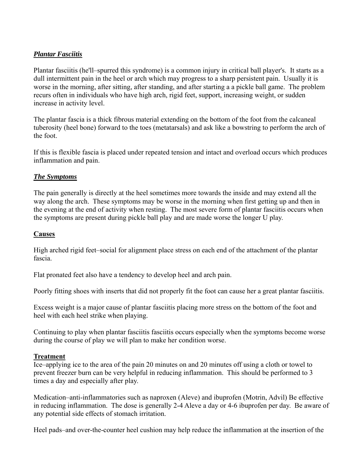# *Plantar Fasciitis*

Plantar fasciitis (he'll–spurred this syndrome) is a common injury in critical ball player's. It starts as a dull intermittent pain in the heel or arch which may progress to a sharp persistent pain. Usually it is worse in the morning, after sitting, after standing, and after starting a a pickle ball game. The problem recurs often in individuals who have high arch, rigid feet, support, increasing weight, or sudden increase in activity level.

The plantar fascia is a thick fibrous material extending on the bottom of the foot from the calcaneal tuberosity (heel bone) forward to the toes (metatarsals) and ask like a bowstring to perform the arch of the foot.

If this is flexible fascia is placed under repeated tension and intact and overload occurs which produces inflammation and pain.

### *The Symptoms*

The pain generally is directly at the heel sometimes more towards the inside and may extend all the way along the arch. These symptoms may be worse in the morning when first getting up and then in the evening at the end of activity when resting. The most severe form of plantar fasciitis occurs when the symptoms are present during pickle ball play and are made worse the longer U play.

### **Causes**

High arched rigid feet–social for alignment place stress on each end of the attachment of the plantar fascia.

Flat pronated feet also have a tendency to develop heel and arch pain.

Poorly fitting shoes with inserts that did not properly fit the foot can cause her a great plantar fasciitis.

Excess weight is a major cause of plantar fasciitis placing more stress on the bottom of the foot and heel with each heel strike when playing.

Continuing to play when plantar fasciitis fasciitis occurs especially when the symptoms become worse during the course of play we will plan to make her condition worse.

#### **Treatment**

Ice–applying ice to the area of the pain 20 minutes on and 20 minutes off using a cloth or towel to prevent freezer burn can be very helpful in reducing inflammation. This should be performed to 3 times a day and especially after play.

Medication–anti-inflammatories such as naproxen (Aleve) and ibuprofen (Motrin, Advil) Be effective in reducing inflammation. The dose is generally 2-4 Aleve a day or 4-6 ibuprofen per day. Be aware of any potential side effects of stomach irritation.

Heel pads–and over-the-counter heel cushion may help reduce the inflammation at the insertion of the